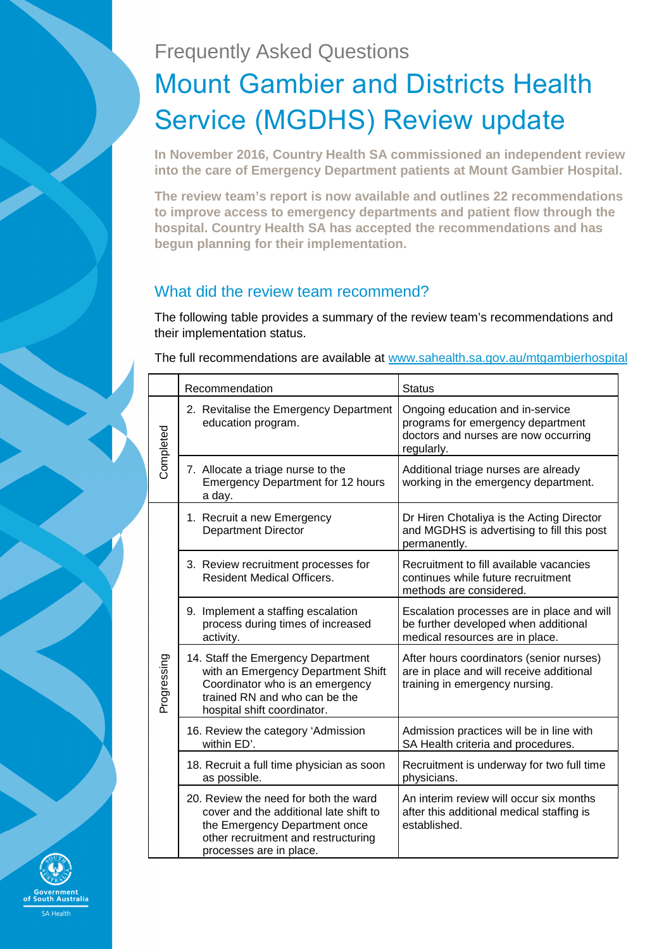## Frequently Asked Questions

# Mount Gambier and Districts Health Service (MGDHS) Review update

**In November 2016, Country Health SA commissioned an independent review into the care of Emergency Department patients at Mount Gambier Hospital.** 

**The review team's report is now available and outlines 22 recommendations to improve access to emergency departments and patient flow through the hospital. Country Health SA has accepted the recommendations and has begun planning for their implementation.** 

## What did the review team recommend?

The following table provides a summary of the review team's recommendations and their implementation status.

The full recommendations are available at www.sahealth.sa.gov.au/mtgambierhospital

|             | Recommendation                                                                                                                                                                     | <b>Status</b>                                                                                                               |
|-------------|------------------------------------------------------------------------------------------------------------------------------------------------------------------------------------|-----------------------------------------------------------------------------------------------------------------------------|
| Completed   | 2. Revitalise the Emergency Department<br>education program.                                                                                                                       | Ongoing education and in-service<br>programs for emergency department<br>doctors and nurses are now occurring<br>regularly. |
|             | 7. Allocate a triage nurse to the<br><b>Emergency Department for 12 hours</b><br>a day.                                                                                            | Additional triage nurses are already<br>working in the emergency department.                                                |
|             | 1. Recruit a new Emergency<br><b>Department Director</b>                                                                                                                           | Dr Hiren Chotaliya is the Acting Director<br>and MGDHS is advertising to fill this post<br>permanently.                     |
|             | 3. Review recruitment processes for<br><b>Resident Medical Officers.</b>                                                                                                           | Recruitment to fill available vacancies<br>continues while future recruitment<br>methods are considered.                    |
|             | 9. Implement a staffing escalation<br>process during times of increased<br>activity.                                                                                               | Escalation processes are in place and will<br>be further developed when additional<br>medical resources are in place.       |
| Progressing | 14. Staff the Emergency Department<br>with an Emergency Department Shift<br>Coordinator who is an emergency<br>trained RN and who can be the<br>hospital shift coordinator.        | After hours coordinators (senior nurses)<br>are in place and will receive additional<br>training in emergency nursing.      |
|             | 16. Review the category 'Admission<br>within ED'.                                                                                                                                  | Admission practices will be in line with<br>SA Health criteria and procedures.                                              |
|             | 18. Recruit a full time physician as soon<br>as possible.                                                                                                                          | Recruitment is underway for two full time<br>physicians.                                                                    |
|             | 20. Review the need for both the ward<br>cover and the additional late shift to<br>the Emergency Department once<br>other recruitment and restructuring<br>processes are in place. | An interim review will occur six months<br>after this additional medical staffing is<br>established.                        |

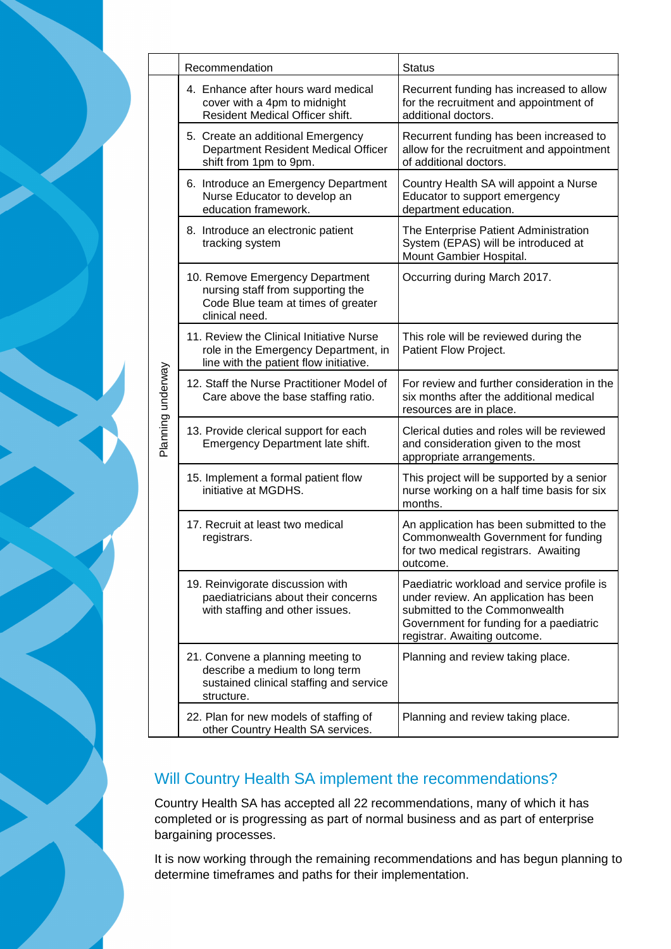|  | Recommendation                                                                                                               | <b>Status</b>                                                                                                                                                                                   |
|--|------------------------------------------------------------------------------------------------------------------------------|-------------------------------------------------------------------------------------------------------------------------------------------------------------------------------------------------|
|  | 4. Enhance after hours ward medical<br>cover with a 4pm to midnight<br>Resident Medical Officer shift.                       | Recurrent funding has increased to allow<br>for the recruitment and appointment of<br>additional doctors.                                                                                       |
|  | 5. Create an additional Emergency<br>Department Resident Medical Officer<br>shift from 1pm to 9pm.                           | Recurrent funding has been increased to<br>allow for the recruitment and appointment<br>of additional doctors.                                                                                  |
|  | 6. Introduce an Emergency Department<br>Nurse Educator to develop an<br>education framework.                                 | Country Health SA will appoint a Nurse<br>Educator to support emergency<br>department education.                                                                                                |
|  | 8. Introduce an electronic patient<br>tracking system                                                                        | The Enterprise Patient Administration<br>System (EPAS) will be introduced at<br>Mount Gambier Hospital.                                                                                         |
|  | 10. Remove Emergency Department<br>nursing staff from supporting the<br>Code Blue team at times of greater<br>clinical need. | Occurring during March 2017.                                                                                                                                                                    |
|  | 11. Review the Clinical Initiative Nurse<br>role in the Emergency Department, in<br>line with the patient flow initiative.   | This role will be reviewed during the<br>Patient Flow Project.                                                                                                                                  |
|  | 12. Staff the Nurse Practitioner Model of<br>Care above the base staffing ratio.                                             | For review and further consideration in the<br>six months after the additional medical<br>resources are in place.                                                                               |
|  | 13. Provide clerical support for each<br>Emergency Department late shift.                                                    | Clerical duties and roles will be reviewed<br>and consideration given to the most<br>appropriate arrangements.                                                                                  |
|  | 15. Implement a formal patient flow<br>initiative at MGDHS.                                                                  | This project will be supported by a senior<br>nurse working on a half time basis for six<br>months.                                                                                             |
|  | 17. Recruit at least two medical<br>registrars.                                                                              | An application has been submitted to the<br>Commonwealth Government for funding<br>for two medical registrars. Awaiting<br>outcome.                                                             |
|  | 19. Reinvigorate discussion with<br>paediatricians about their concerns<br>with staffing and other issues.                   | Paediatric workload and service profile is<br>under review. An application has been<br>submitted to the Commonwealth<br>Government for funding for a paediatric<br>registrar. Awaiting outcome. |
|  | 21. Convene a planning meeting to<br>describe a medium to long term<br>sustained clinical staffing and service<br>structure. | Planning and review taking place.                                                                                                                                                               |
|  | 22. Plan for new models of staffing of<br>other Country Health SA services.                                                  | Planning and review taking place.                                                                                                                                                               |

Planning underway

Planning underway

## Will Country Health SA implement the recommendations?

Country Health SA has accepted all 22 recommendations, many of which it has completed or is progressing as part of normal business and as part of enterprise bargaining processes.

It is now working through the remaining recommendations and has begun planning to determine timeframes and paths for their implementation.